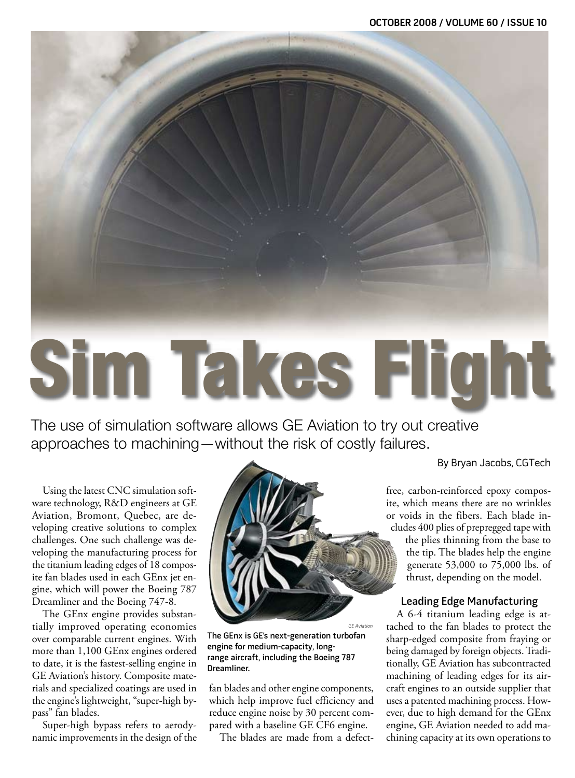## Sim Takes Flight

The use of simulation software allows GE Aviation to try out creative approaches to machining—without the risk of costly failures.

Using the latest CNC simulation software technology, R&D engineers at GE Aviation, Bromont, Quebec, are developing creative solutions to complex challenges. One such challenge was developing the manufacturing process for the titanium leading edges of 18 composite fan blades used in each GEnx jet engine, which will power the Boeing 787 Dreamliner and the Boeing 747-8.

The GEnx engine provides substantially improved operating economies over comparable current engines. With more than 1,100 GEnx engines ordered to date, it is the fastest-selling engine in GE Aviation's history. Composite materials and specialized coatings are used in the engine's lightweight, "super-high bypass" fan blades.

Super-high bypass refers to aerodynamic improvements in the design of the



GE Aviation The GEnx is GE's next-generation turbofan engine for medium-capacity, longrange aircraft, including the Boeing 787 Dreamliner.

fan blades and other engine components, which help improve fuel efficiency and reduce engine noise by 30 percent compared with a baseline GE CF6 engine.

The blades are made from a defect-

By Bryan Jacobs, CGTech

free, carbon-reinforced epoxy composite, which means there are no wrinkles or voids in the fibers. Each blade includes 400 plies of prepregged tape with

the plies thinning from the base to the tip. The blades help the engine generate 53,000 to 75,000 lbs. of thrust, depending on the model.

## Leading Edge Manufacturing

A 6-4 titanium leading edge is attached to the fan blades to protect the sharp-edged composite from fraying or being damaged by foreign objects. Traditionally, GE Aviation has subcontracted machining of leading edges for its aircraft engines to an outside supplier that uses a patented machining process. However, due to high demand for the GEnx engine, GE Aviation needed to add machining capacity at its own operations to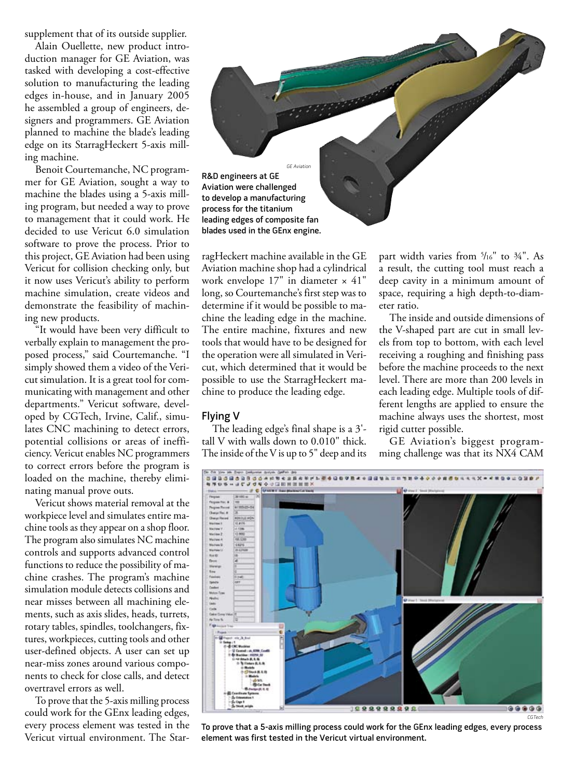supplement that of its outside supplier.

Alain Ouellette, new product introduction manager for GE Aviation, was tasked with developing a cost-effective solution to manufacturing the leading edges in-house, and in January 2005 he assembled a group of engineers, designers and programmers. GE Aviation planned to machine the blade's leading edge on its StarragHeckert 5-axis milling machine.

Benoit Courtemanche, NC programmer for GE Aviation, sought a way to machine the blades using a 5-axis milling program, but needed a way to prove to management that it could work. He decided to use Vericut 6.0 simulation software to prove the process. Prior to this project, GE Aviation had been using Vericut for collision checking only, but it now uses Vericut's ability to perform machine simulation, create videos and demonstrate the feasibility of machining new products.

"It would have been very difficult to verbally explain to management the proposed process," said Courtemanche. "I simply showed them a video of the Vericut simulation. It is a great tool for communicating with management and other departments." Vericut software, developed by CGTech, Irvine, Calif., simulates CNC machining to detect errors, potential collisions or areas of inefficiency. Vericut enables NC programmers to correct errors before the program is loaded on the machine, thereby eliminating manual prove outs.

Vericut shows material removal at the workpiece level and simulates entire machine tools as they appear on a shop floor. The program also simulates NC machine controls and supports advanced control functions to reduce the possibility of machine crashes. The program's machine simulation module detects collisions and near misses between all machining elements, such as axis slides, heads, turrets, rotary tables, spindles, toolchangers, fixtures, workpieces, cutting tools and other user-defined objects. A user can set up near-miss zones around various components to check for close calls, and detect overtravel errors as well.

To prove that the 5-axis milling process could work for the GEnx leading edges, every process element was tested in the Vericut virtual environment. The Star-



ragHeckert machine available in the GE Aviation machine shop had a cylindrical work envelope 17" in diameter × 41" long, so Courtemanche's first step was to determine if it would be possible to machine the leading edge in the machine. The entire machine, fixtures and new tools that would have to be designed for the operation were all simulated in Vericut, which determined that it would be possible to use the StarragHeckert machine to produce the leading edge.

## Flying V

The leading edge's final shape is a 3' tall V with walls down to 0.010" thick. The inside of the V is up to 5" deep and its

part width varies from 5 /16" to ¾". As a result, the cutting tool must reach a deep cavity in a minimum amount of space, requiring a high depth-to-diameter ratio.

The inside and outside dimensions of the V-shaped part are cut in small levels from top to bottom, with each level receiving a roughing and finishing pass before the machine proceeds to the next level. There are more than 200 levels in each leading edge. Multiple tools of different lengths are applied to ensure the machine always uses the shortest, most rigid cutter possible.

GE Aviation's biggest programming challenge was that its NX4 CAM



To prove that a 5-axis milling process could work for the GEnx leading edges, every process element was first tested in the Vericut virtual environment.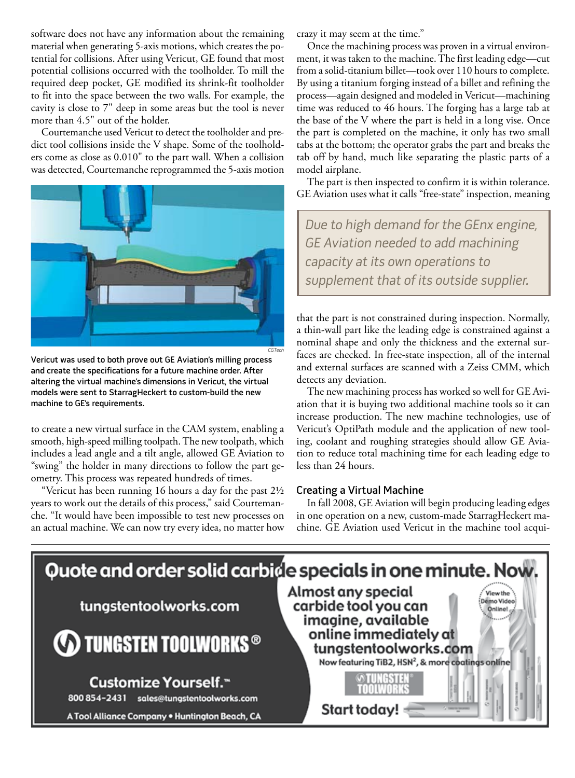software does not have any information about the remaining material when generating 5-axis motions, which creates the potential for collisions. After using Vericut, GE found that most potential collisions occurred with the toolholder. To mill the required deep pocket, GE modified its shrink-fit toolholder to fit into the space between the two walls. For example, the cavity is close to 7" deep in some areas but the tool is never more than 4.5" out of the holder.

Courtemanche used Vericut to detect the toolholder and predict tool collisions inside the V shape. Some of the toolholders come as close as 0.010" to the part wall. When a collision was detected, Courtemanche reprogrammed the 5-axis motion



Vericut was used to both prove out GE Aviation's milling process and create the specifications for a future machine order. After altering the virtual machine's dimensions in Vericut, the virtual models were sent to StarragHeckert to custom-build the new machine to GE's requirements.

to create a new virtual surface in the CAM system, enabling a smooth, high-speed milling toolpath. The new toolpath, which includes a lead angle and a tilt angle, allowed GE Aviation to "swing" the holder in many directions to follow the part geometry. This process was repeated hundreds of times.

"Vericut has been running 16 hours a day for the past 2½ years to work out the details of this process," said Courtemanche. "It would have been impossible to test new processes on an actual machine. We can now try every idea, no matter how crazy it may seem at the time."

Once the machining process was proven in a virtual environment, it was taken to the machine. The first leading edge—cut from a solid-titanium billet—took over 110 hours to complete. By using a titanium forging instead of a billet and refining the process—again designed and modeled in Vericut—machining time was reduced to 46 hours. The forging has a large tab at the base of the V where the part is held in a long vise. Once the part is completed on the machine, it only has two small tabs at the bottom; the operator grabs the part and breaks the tab off by hand, much like separating the plastic parts of a model airplane.

The part is then inspected to confirm it is within tolerance. GE Aviation uses what it calls "free-state" inspection, meaning

Due to high demand for the GEnx engine, GE Aviation needed to add machining capacity at its own operations to supplement that of its outside supplier.

that the part is not constrained during inspection. Normally, a thin-wall part like the leading edge is constrained against a nominal shape and only the thickness and the external surfaces are checked. In free-state inspection, all of the internal and external surfaces are scanned with a Zeiss CMM, which detects any deviation.

The new machining process has worked so well for GE Aviation that it is buying two additional machine tools so it can increase production. The new machine technologies, use of Vericut's OptiPath module and the application of new tooling, coolant and roughing strategies should allow GE Aviation to reduce total machining time for each leading edge to less than 24 hours.

## Creating a Virtual Machine

In fall 2008, GE Aviation will begin producing leading edges in one operation on a new, custom-made StarragHeckert machine. GE Aviation used Vericut in the machine tool acqui-